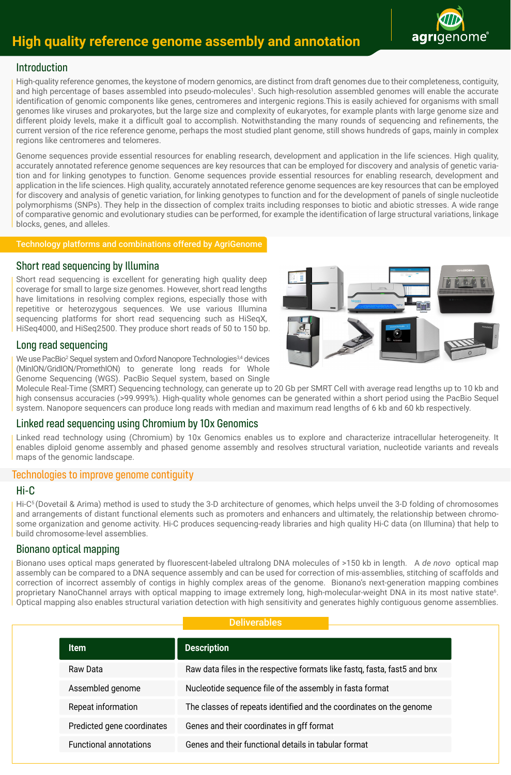# **High quality reference genome assembly and annotation**



# Introduction

High-quality reference genomes, the keystone of modern genomics, are distinct from draft genomes due to their completeness, contiguity, and high percentage of bases assembled into pseudo-molecules<sup>1</sup>. Such high-resolution assembled genomes will enable the accurate identification of genomic components like genes, centromeres and intergenic regions.This is easily achieved for organisms with small genomes like viruses and prokaryotes, but the large size and complexity of eukaryotes, for example plants with large genome size and different ploidy levels, make it a difficult goal to accomplish. Notwithstanding the many rounds of sequencing and refinements, the current version of the rice reference genome, perhaps the most studied plant genome, still shows hundreds of gaps, mainly in complex regions like centromeres and telomeres.

Genome sequences provide essential resources for enabling research, development and application in the life sciences. High quality, accurately annotated reference genome sequences are key resources that can be employed for discovery and analysis of genetic variation and for linking genotypes to function. Genome sequences provide essential resources for enabling research, development and application in the life sciences. High quality, accurately annotated reference genome sequences are key resources that can be employed for discovery and analysis of genetic variation, for linking genotypes to function and for the development of panels of single nucleotide polymorphisms (SNPs). They help in the dissection of complex traits including responses to biotic and abiotic stresses. A wide range of comparative genomic and evolutionary studies can be performed, for example the identification of large structural variations, linkage blocks, genes, and alleles.

#### Technology platforms and combinations offered by AgriGenome

# Short read sequencing by Illumina

Short read sequencing is excellent for generating high quality deep coverage for small to large size genomes. However, short read lengths have limitations in resolving complex regions, especially those with repetitive or heterozygous sequences. We use various Illumina sequencing platforms for short read sequencing such as HiSeqX, HiSeq4000, and HiSeq2500. They produce short reads of 50 to 150 bp.

# Long read sequencing

We use PacBio<sup>2</sup> Sequel system and Oxford Nanopore Technologies<sup>3,4</sup> devices (MinION/GridION/PromethION) to generate long reads for Whole Genome Sequencing (WGS). PacBio Sequel system, based on Single



Molecule Real-Time (SMRT) Sequencing technology, can generate up to 20 Gb per SMRT Cell with average read lengths up to 10 kb and high consensus accuracies (>99.999%). High-quality whole genomes can be generated within a short period using the PacBio Sequel system. Nanopore sequencers can produce long reads with median and maximum read lengths of 6 kb and 60 kb respectively.

# Linked read sequencing using Chromium by 10x Genomics

Linked read technology using (Chromium) by 10x Genomics enables us to explore and characterize intracellular heterogeneity. It enables diploid genome assembly and phased genome assembly and resolves structural variation, nucleotide variants and reveals maps of the genomic landscape.

# Technologies to improve genome contiguity

# Hi-C

Hi-C5 (Dovetail & Arima) method is used to study the 3-D architecture of genomes, which helps unveil the 3-D folding of chromosomes and arrangements of distant functional elements such as promoters and enhancers and ultimately, the relationship between chromosome organization and genome activity. Hi-C produces sequencing-ready libraries and high quality Hi-C data (on Illumina) that help to build chromosome-level assemblies.

# Bionano optical mapping

Bionano uses optical maps generated by fluorescent-labeled ultralong DNA molecules of >150 kb in length. A *de novo* optical map assembly can be compared to a DNA sequence assembly and can be used for correction of mis-assemblies, stitching of scaffolds and correction of incorrect assembly of contigs in highly complex areas of the genome. Bionano's next-generation mapping combines proprietary NanoChannel arrays with optical mapping to image extremely long, high-molecular-weight DNA in its most native state<sup>6</sup>. Optical mapping also enables structural variation detection with high sensitivity and generates highly contiguous genome assemblies.

## **Deliverables**

| <b>Item</b>                   | <b>Description</b>                                                        |
|-------------------------------|---------------------------------------------------------------------------|
| Raw Data                      | Raw data files in the respective formats like fastq, fasta, fast5 and bnx |
| Assembled genome              | Nucleotide sequence file of the assembly in fasta format                  |
| Repeat information            | The classes of repeats identified and the coordinates on the genome       |
| Predicted gene coordinates    | Genes and their coordinates in gff format                                 |
| <b>Functional annotations</b> | Genes and their functional details in tabular format                      |